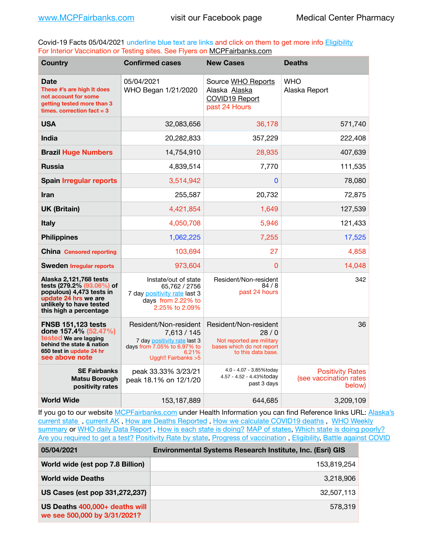Covid-19 Facts 05/04/2021 underline blue text are links and click on them to get more info **Eligibility** For Interior Vaccination or Testing sites. See Flyers on [MCPFairbanks.com](http://www.MCPFairbanks.com)

| <b>Country</b>                                                                                                                                               | <b>Confirmed cases</b>                                                                                                               | <b>New Cases</b>                                                                                              | <b>Deaths</b>                                               |
|--------------------------------------------------------------------------------------------------------------------------------------------------------------|--------------------------------------------------------------------------------------------------------------------------------------|---------------------------------------------------------------------------------------------------------------|-------------------------------------------------------------|
| <b>Date</b><br>These #'s are high It does<br>not account for some<br>getting tested more than 3<br>times. correction $fact = 3$                              | 05/04/2021<br>WHO Began 1/21/2020                                                                                                    | Source WHO Reports<br>Alaska Alaska<br>COVID19 Report<br>past 24 Hours                                        | <b>WHO</b><br>Alaska Report                                 |
| <b>USA</b>                                                                                                                                                   | 32,083,656                                                                                                                           | 36,178                                                                                                        | 571,740                                                     |
| India                                                                                                                                                        | 20,282,833                                                                                                                           | 357,229                                                                                                       | 222,408                                                     |
| <b>Brazil Huge Numbers</b>                                                                                                                                   | 14,754,910                                                                                                                           | 28,935                                                                                                        | 407,639                                                     |
| <b>Russia</b>                                                                                                                                                | 4,839,514                                                                                                                            | 7,770                                                                                                         | 111,535                                                     |
| <b>Spain Irregular reports</b>                                                                                                                               | 3,514,942                                                                                                                            | 0                                                                                                             | 78,080                                                      |
| <b>Iran</b>                                                                                                                                                  | 255,587                                                                                                                              | 20,732                                                                                                        | 72,875                                                      |
| <b>UK (Britain)</b>                                                                                                                                          | 4,421,854                                                                                                                            | 1,649                                                                                                         | 127,539                                                     |
| <b>Italy</b>                                                                                                                                                 | 4,050,708                                                                                                                            | 5,946                                                                                                         | 121,433                                                     |
| <b>Philippines</b>                                                                                                                                           | 1,062,225                                                                                                                            | 7,255                                                                                                         | 17,525                                                      |
| <b>China Censored reporting</b>                                                                                                                              | 103,694                                                                                                                              | 27                                                                                                            | 4,858                                                       |
| <b>Sweden Irregular reports</b>                                                                                                                              | 973,604                                                                                                                              | 0                                                                                                             | 14,048                                                      |
| Alaska 2,121,768 tests<br>tests (279.2% (93.06%) of<br>populous) 4,473 tests in<br>update 24 hrs we are<br>unlikely to have tested<br>this high a percentage | Instate/out of state<br>65,762 / 2756<br>7 day positivity rate last 3<br>days from 2.22% to<br>2.25% to 2.09%                        | Resident/Non-resident<br>84/8<br>past 24 hours                                                                | 342                                                         |
| <b>FNSB 151,123 tests</b><br>done 157.4% (52.47%)<br>tested We are lagging<br>behind the state & nation<br>650 test in update 24 hr<br>see above note        | Resident/Non-resident<br>7,613 / 145<br>7 day positivity rate last 3<br>days from 7.05% to 6.97% to<br>6.21%<br>Uggh!! Fairbanks > 5 | Resident/Non-resident<br>28/0<br>Not reported are military<br>bases which do not report<br>to this data base. | 36                                                          |
| <b>SE Fairbanks</b><br><b>Matsu Borough</b><br>positivity rates                                                                                              | peak 33.33% 3/23/21<br>peak 18.1% on 12/1/20                                                                                         | 4.0 - 4.07 - 3.85%today<br>4.57 - 4.52 - 4.43%today<br>past 3 days                                            | <b>Positivity Rates</b><br>(see vaccination rates<br>below) |
| <b>World Wide</b>                                                                                                                                            | 153,187,889                                                                                                                          | 644,685                                                                                                       | 3,209,109                                                   |

If you go to our website [MCPFairbanks.com](http://www.MCPFairbanks.com) under Health Information you can find Reference links URL: Alaska's [current state](https://coronavirus-response-alaska-dhss.hub.arcgis.com) , [current AK](http://dhss.alaska.gov/dph/Epi/id/Pages/COVID-19/communications.aspx#cases) , [How are Deaths Reported](http://dhss.alaska.gov/dph/Epi/id/Pages/COVID-19/deathcounts.aspx) , [How we calculate COVID19 deaths](https://coronavirus-response-alaska-dhss.hub.arcgis.com/search?collection=Document&groupIds=41ccb3344ebc4bd682c74073eba21f42) , [WHO Weekly](http://www.who.int)  [summary](http://www.who.int) or [WHO daily Data Report](https://covid19.who.int/table), [How is each state is doing?](https://www.msn.com/en-us/news/us/state-by-state-coronavirus-news/ar-BB13E1PX?fbclid=IwAR0_OBJH7lSyTN3ug_MsOeFnNgB1orTa9OBgilKJ7dhnwlVvHEsptuKkj1c) [MAP of states,](https://www.nationalgeographic.com/science/graphics/graphic-tracking-coronavirus-infections-us?cmpid=org=ngp::mc=crm-email::src=ngp::cmp=editorial::add=SpecialEdition_20210305&rid=B9A6DF5992658E8E35CE023113CFEA4C) [Which state is doing poorly?](https://bestlifeonline.com/covid-outbreak-your-state/?utm_source=nsltr&utm_medium=email&utm_content=covid-outbreak-your-state&utm_campaign=launch) [Are you required to get a test?](http://dhss.alaska.gov/dph/Epi/id/SiteAssets/Pages/HumanCoV/Whattodoafteryourtest.pdf) [Positivity Rate by state](https://coronavirus.jhu.edu/testing/individual-states/alaska), Progress of vaccination, [Eligibility,](http://dhss.alaska.gov/dph/Epi/id/Pages/COVID-19/VaccineAvailability.aspx) [Battle against COVID](https://www.nationalgeographic.com/science/graphics/graphic-tracking-coronavirus-infections-us?cmpid=org=ngp::mc=crm-email::src=ngp::cmp=editorial::add=SpecialEdition_20210219&rid=B9A6DF5992658E8E35CE023113CFEA4C)

| 05/04/2021                                                     | <b>Environmental Systems Research Institute, Inc. (Esri) GIS</b> |
|----------------------------------------------------------------|------------------------------------------------------------------|
| World wide (est pop 7.8 Billion)                               | 153,819,254                                                      |
| <b>World wide Deaths</b>                                       | 3,218,906                                                        |
| US Cases (est pop 331,272,237)                                 | 32.507.113                                                       |
| US Deaths 400,000+ deaths will<br>we see 500,000 by 3/31/2021? | 578,319                                                          |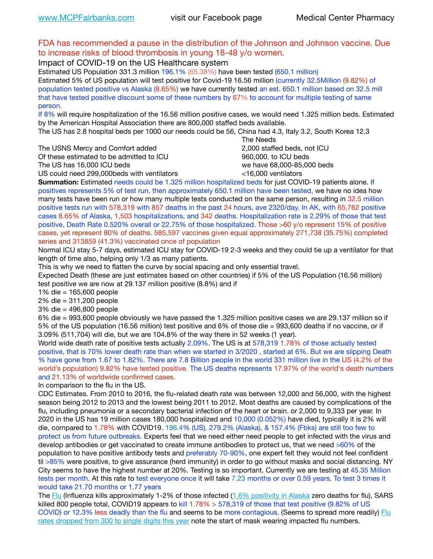## FDA has recommended a pause in the distribution of the Johnson and Johnson vaccine. Due to increase risks of blood thrombosis in young 18-48 y/o women.

Impact of COVID-19 on the US Healthcare system

Estimated US Population 331.3 million 196.1% (65.38%) have been tested (650.1 million) Estimated 5% of US population will test positive for Covid-19 16.56 million (currently 32.5Million (9.82%) of population tested positive vs Alaska (8.65%) we have currently tested an est. 650.1 million based on 32.5 mill that have tested positive discount some of these numbers by 67% to account for multiple testing of same person.

If 8% will require hospitalization of the 16.56 million positive cases, we would need 1.325 million beds. Estimated by the American Hospital Association there are 800,000 staffed beds available.

The US has 2.8 hospital beds per 1000 our needs could be 56, China had 4.3, Italy 3.2, South Korea 12.3

The USNS Mercy and Comfort added 2,000 staffed beds, not ICU

Of these estimated to be admitted to ICU **860,000**, to ICU beds

 The Needs The US has 16,000 ICU beds we have 68,000-85,000 beds

US could need 299,000 beds with ventilators  $\leq$ 16,000 ventilators

**Summation:** Estimated needs could be 1.325 million hospitalized beds for just COVID-19 patients alone. If positives represents 5% of test run, then approximately 650.1 million have been tested, we have no idea how many tests have been run or how many multiple tests conducted on the same person, resulting in 32.5 million positive tests run with 578,319 with 857 deaths in the past 24 hours, ave 2320/day. In AK, with 65,762 positive cases 8.65% of Alaska, 1,503 hospitalizations, and 342 deaths. Hospitalization rate is 2.29% of those that test positive, Death Rate 0.520% overall or 22.75% of those hospitalized. Those >60 y/o represent 15% of positive cases, yet represent 80% of deaths. 585,597 vaccines given equal approximately 271,738 (35.75%) completed series and 313859 (41.3%) vaccinated once of population

Normal ICU stay 5-7 days, estimated ICU stay for COVID-19 2-3 weeks and they could tie up a ventilator for that length of time also, helping only 1/3 as many patients.

This is why we need to flatten the curve by social spacing and only essential travel.

Expected Death (these are just estimates based on other countries) if 5% of the US Population (16.56 million) test positive we are now at 29.137 million positive (8.8%) and if

1% die = 165,600 people

2% die = 311,200 people

3% die = 496,800 people

6% die = 993,600 people obviously we have passed the 1.325 million positive cases we are 29.137 million so if 5% of the US population (16.56 million) test positive and 6% of those die = 993,600 deaths if no vaccine, or if 3.09% (511,704) will die, but we are 104.8% of the way there in 52 weeks (1 year).

World wide death rate of positive tests actually 2.09%. The US is at 578,319 1.78% of those actually tested positive, that is 70% lower death rate than when we started in 3/2020 , started at 6%. But we are slipping Death % have gone from 1.67 to 1.82%. There are 7.8 Billion people in the world 331 million live in the US (4.2% of the world's population) 9.82% have tested positive. The US deaths represents 17.97% of the world's death numbers and 21.13% of worldwide confirmed cases.

In comparison to the flu in the US.

CDC Estimates. From 2010 to 2016, the flu-related death rate was between 12,000 and 56,000, with the highest season being 2012 to 2013 and the lowest being 2011 to 2012. Most deaths are caused by complications of the flu, including pneumonia or a secondary bacterial infection of the heart or brain. or 2,000 to 9,333 per year. In 2020 in the US has 19 million cases 180,000 hospitalized and 10,000 (0.052%) have died, typically it is 2% will die, compared to 1.78% with COVID19. 196.4% (US), 279.2% (Alaska), & 157.4% (Fbks) are still too few to protect us from future outbreaks. Experts feel that we need either need people to get infected with the virus and develop antibodies or get vaccinated to create immune antibodies to protect us, that we need >60% of the population to have positive antibody tests and preferably 70-90%, one expert felt they would not feel confident til >85% were positive, to give assurance (herd immunity) in order to go without masks and social distancing. NY City seems to have the highest number at 20%. Testing is so important. Currently we are testing at 45.35 Million tests per month. At this rate to test everyone once it will take 7.23 months or over 0.59 years. To test 3 times it would take 21.70 months or 1.77 years

The [Flu](https://lnks.gd/l/eyJhbGciOiJIUzI1NiJ9.eyJidWxsZXRpbl9saW5rX2lkIjoxMDMsInVyaSI6ImJwMjpjbGljayIsImJ1bGxldGluX2lkIjoiMjAyMTAyMjYuMzYwNDA3NTEiLCJ1cmwiOiJodHRwczovL3d3dy5jZGMuZ292L2ZsdS93ZWVrbHkvb3ZlcnZpZXcuaHRtIn0.ePMA_hsZ-pTnhWSyg1gHvHWYTu2XceVOt0JejxvP1WE/s/500544915/br/98428119752-l) (Influenza kills approximately 1-2% of those infected ([1.6% positivity in Alaska](http://dhss.alaska.gov/dph/Epi/id/SiteAssets/Pages/influenza/trends/Snapshot.pdf) zero deaths for flu), SARS killed 800 people total, COVID19 appears to kill 1.78% > 578,319 of those that test positive (9.82% of US COVID) or 12.3% less deadly than the flu and seems to be more contagious. (Seems to spread more readily) Flu [rates dropped from 300 to single digits this year](https://lnks.gd/l/eyJhbGciOiJIUzI1NiJ9.eyJidWxsZXRpbl9saW5rX2lkIjoxMDEsInVyaSI6ImJwMjpjbGljayIsImJ1bGxldGluX2lkIjoiMjAyMTAyMjYuMzYwNDA3NTEiLCJ1cmwiOiJodHRwOi8vZGhzcy5hbGFza2EuZ292L2RwaC9FcGkvaWQvUGFnZXMvaW5mbHVlbnphL2ZsdWluZm8uYXNweCJ9.oOe3nt2fww6XpsNhb4FZfmtPfPa-irGaldpkURBJhSo/s/500544915/br/98428119752-l) note the start of mask wearing impacted flu numbers.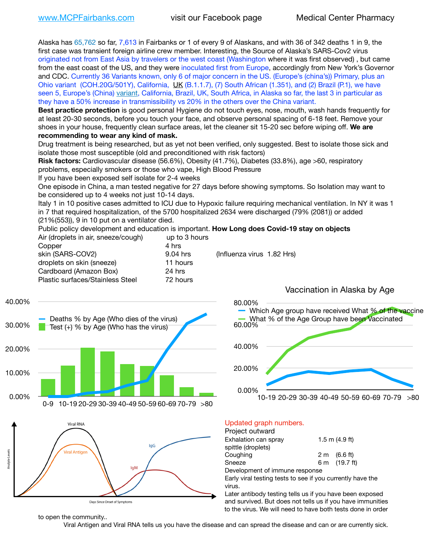Alaska has 65,762 so far, 7,613 in Fairbanks or 1 of every 9 of Alaskans, and with 36 of 342 deaths 1 in 9, the first case was transient foreign airline crew member. Interesting, the Source of Alaska's SARS-Cov2 virus originated not from East Asia by travelers or the west coast (Washington where it was first observed) , but came from the east coast of the US, and they were inoculated first from Europe, accordingly from New York's Governor and CDC. Currently 36 Variants known, only 6 of major concern in the US. (Europe's (china's)) Primary, plus an Ohio variant (COH.20G/501Y), California, [UK](https://www.cdc.gov/coronavirus/2019-ncov/transmission/variant-cases.html) (B.1.1.7), (7) South African (1.351), and (2) Brazil (P.1), we have seen 5, Europe's (China) [variant,](https://www.webmd.com/lung/news/20210318/cdc-who-create-threat-levels-for-covid-variants?ecd=wnl_cvd_031921&ctr=wnl-cvd-031921&mb=kYbf7DsHb7YGjh/1RUkcAW0T6iorImAU1TDZh18RYs0=_Support_titleLink_2) California, Brazil, UK, South Africa, in Alaska so far, the last 3 in particular as they have a 50% increase in transmissibility vs 20% in the others over the China variant.

**Best practice protection** is good personal Hygiene do not touch eyes, nose, mouth, wash hands frequently for at least 20-30 seconds, before you touch your face, and observe personal spacing of 6-18 feet. Remove your shoes in your house, frequently clean surface areas, let the cleaner sit 15-20 sec before wiping off. **We are recommending to wear any kind of mask.**

Drug treatment is being researched, but as yet not been verified, only suggested. Best to isolate those sick and isolate those most susceptible (old and preconditioned with risk factors)

**Risk factors:** Cardiovascular disease (56.6%), Obesity (41.7%), Diabetes (33.8%), age >60, respiratory problems, especially smokers or those who vape, High Blood Pressure

If you have been exposed self isolate for 2-4 weeks

One episode in China, a man tested negative for 27 days before showing symptoms. So Isolation may want to be considered up to 4 weeks not just 10-14 days.

Italy 1 in 10 positive cases admitted to ICU due to Hypoxic failure requiring mechanical ventilation. In NY it was 1 in 7 that required hospitalization, of the 5700 hospitalized 2634 were discharged (79% (2081)) or added (21%(553)), 9 in 10 put on a ventilator died.

Public policy development and education is important. **How Long does Covid-19 stay on objects**

| Air (droplets in air, sneeze/cough)     | up to 3 hours |           |
|-----------------------------------------|---------------|-----------|
| Copper                                  | 4 hrs         |           |
| skin (SARS-COV2)                        | 9.04 hrs      | (Influenz |
| droplets on skin (sneeze)               | 11 hours      |           |
| Cardboard (Amazon Box)                  | 24 hrs        |           |
| <b>Plastic surfaces/Stainless Steel</b> | 72 hours      |           |
|                                         |               |           |

a virus 1.82 Hrs)







### Updated graph numbers.

| Project outward                                                      |                        |
|----------------------------------------------------------------------|------------------------|
| Exhalation can spray                                                 | $1.5$ m $(4.9$ ft)     |
| spittle (droplets)                                                   |                        |
| Coughing                                                             | $2 \text{ m}$ (6.6 ft) |
| Sneeze                                                               | 6 m (19.7 ft)          |
| Development of immune response                                       |                        |
| Early viral testing tests to see if you currently have the<br>virus. |                        |
| Later antibody testing tells us if you have been exposed             |                        |

and survived. But does not tells us if you have immunities to the virus. We will need to have both tests done in order

to open the community..

Viral Antigen and Viral RNA tells us you have the disease and can spread the disease and can or are currently sick.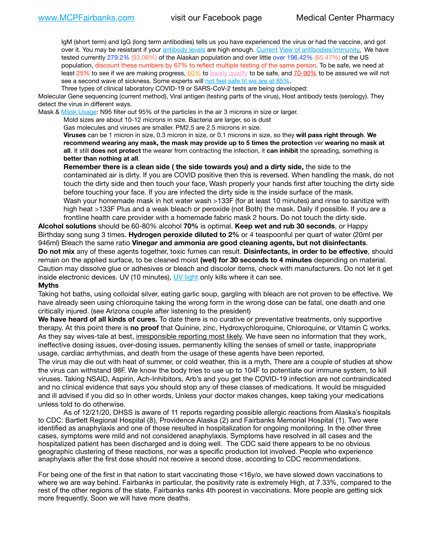IgM (short term) and IgG (long term antibodies) tells us you have experienced the virus or had the vaccine, and got over it. You may be resistant if your [antibody levels](https://www.cdc.gov/coronavirus/2019-ncov/lab/resources/antibody-tests.html) are high enough. [Current](https://l.facebook.com/l.php?u=https://www.itv.com/news/2020-10-26/covid-19-antibody-levels-reduce-over-time-study-finds?fbclid=IwAR3Dapzh1qIH1EIOdUQI2y8THf7jfA4KBCaJz8Qg-8xe1YsrR4nsAHDIXSY&h=AT30nut8pkqp0heVuz5W2rT2WFFm-2Ab52BsJxZZCNlGsX58IpPkuVEPULbIUV_M16MAukx1Kwb657DPXxsgDN1rpOQ4gqBtQsmVYiWpnHPJo2RQsU6CPMd14lgLnQnFWxfVi6zvmw&__tn__=-UK-R&c%5B0%5D=AT1GaRAfR_nGAyqcn7TI1-PpvqOqEKXHnz6TDWvRStMnOSH7boQDvTiwTOc6VId9UES6LKiOmm2m88wKCoolkJyOFvakt2Z1Mw8toYWGGoWW23r0MNVBl7cYJXB_UOvGklNHaNnaNr1_S7NhT3BSykNOBg) [View of antibodies/immunity](https://www.livescience.com/antibodies.html)[.](https://www.itv.com/news/2020-10-26/covid-19-antibody-levels-reduce-over-time-study-finds) We have tested currently 279.2% (93.06%) of the Alaskan population and over little over 196.42% (65.47%) of the US population, discount these numbers by 67% to reflect multiple testing of the same person. To be safe, we need at least 25% to see if we are making progress, [60%](https://www.jhsph.edu/covid-19/articles/achieving-herd-immunity-with-covid19.html) to [barely qualify](https://www.nature.com/articles/d41586-020-02948-4) to be safe, and [70-90%](https://www.mayoclinic.org/herd-immunity-and-coronavirus/art-20486808) to be assured we will not see a second wave of sickness. Some experts will [not feel safe til we are at 85%.](https://www.bannerhealth.com/healthcareblog/teach-me/what-is-herd-immunity)

Three types of clinical laboratory COVID-19 or SARS-CoV-2 tests are being developed:

Molecular Gene sequencing (current method), Viral antigen (testing parts of the virus), Host antibody tests (serology). They detect the virus in different ways.

Mask & [Mask Usage:](https://www.nationalgeographic.com/history/2020/03/how-cities-flattened-curve-1918-spanish-flu-pandemic-coronavirus/) N95 filter out 95% of the particles in the air 3 microns in size or larger.

Mold sizes are about 10-12 microns in size. Bacteria are larger, so is dust

Gas molecules and viruses are smaller. PM2.5 are 2.5 microns in size.

**Viruses** can be 1 micron in size, 0.3 micron in size, or 0.1 microns in size, so they **will pass right through**. **We recommend wearing any mask, the mask may provide up to 5 times the protection** ver **wearing no mask at all**. It still **does not protect** the wearer from contracting the infection, it **can inhibit** the spreading, something is **better than nothing at all**.

**Remember there is a clean side ( the side towards you) and a dirty side,** the side to the contaminated air is dirty. If you are COVID positive then this is reversed. When handling the mask, do not touch the dirty side and then touch your face, Wash properly your hands first after touching the dirty side before touching your face. If you are infected the dirty side is the inside surface of the mask. Wash your homemade mask in hot water wash >133F (for at least 10 minutes) and rinse to sanitize with high heat >133F Plus and a weak bleach or peroxide (not Both) the mask. Daily if possible. If you are a frontline health care provider with a homemade fabric mask 2 hours. Do not touch the dirty side.

**Alcohol solutions** should be 60-80% alcohol **70%** is optimal. **Keep wet and rub 30 seconds**, or Happy Birthday song sung 3 times. **Hydrogen peroxide diluted to 2%** or 4 teaspoonful per quart of water (20ml per 946ml) Bleach the same ratio **Vinegar and ammonia are good cleaning agents, but not disinfectants**. **Do not mix** any of these agents together, toxic fumes can result. **Disinfectants, in order to be effective**, should remain on the applied surface, to be cleaned moist **(wet) for 30 seconds to 4 minutes** depending on material. Caution may dissolve glue or adhesives or bleach and discolor items, check with manufacturers. Do not let it get inside electronic devices. UV (10 minutes), [UV light](http://www.docreviews.me/best-uv-boxes-2020/?fbclid=IwAR3bvFtXB48OoBBSvYvTEnKuHNPbipxM6jUo82QUSw9wckxjC7wwRZWabGw) only kills where it can see.

#### **Myths**

Taking hot baths, using colloidal silver, eating garlic soup, gargling with bleach are not proven to be effective. We have already seen using chloroquine taking the wrong form in the wrong dose can be fatal, one death and one critically injured. (see Arizona couple after listening to the president)

**We have heard of all kinds of cures.** To date there is no curative or preventative treatments, only supportive therapy. At this point there is **no proof** that Quinine, zinc, Hydroxychloroquine, Chloroquine, or Vitamin C works. As they say wives-tale at best, irresponsible reporting most likely. We have seen no information that they work, ineffective dosing issues, over-dosing issues, permanently killing the senses of smell or taste, inappropriate usage, cardiac arrhythmias, and death from the usage of these agents have been reported.

The virus may die out with heat of summer, or cold weather, this is a myth, There are a couple of studies at show the virus can withstand 98F. We know the body tries to use up to 104F to potentiate our immune system, to kill viruses. Taking NSAID, Aspirin, Ach-Inhibitors, Arb's and you get the COVID-19 infection are not contraindicated and no clinical evidence that says you should stop any of these classes of medications. It would be misguided and ill advised if you did so In other words, Unless your doctor makes changes, keep taking your medications unless told to do otherwise.

As of 12/21/20, DHSS is aware of 11 reports regarding possible allergic reactions from Alaska's hospitals to CDC: Bartlett Regional Hospital (8), Providence Alaska (2) and Fairbanks Memorial Hospital (1). Two were identified as anaphylaxis and one of those resulted in hospitalization for ongoing monitoring. In the other three cases, symptoms were mild and not considered anaphylaxis. Symptoms have resolved in all cases and the hospitalized patient has been discharged and is doing well. The CDC said there appears to be no obvious geographic clustering of these reactions, nor was a specific production lot involved. People who experience anaphylaxis after the first dose should not receive a second dose, according to CDC recommendations.

For being one of the first in that nation to start vaccinating those <16y/o, we have slowed down vaccinations to where we are way behind. Fairbanks in particular, the positivity rate is extremely High, at 7.33%, compared to the rest of the other regions of the state, Fairbanks ranks 4th poorest in vaccinations. More people are getting sick more frequently. Soon we will have more deaths.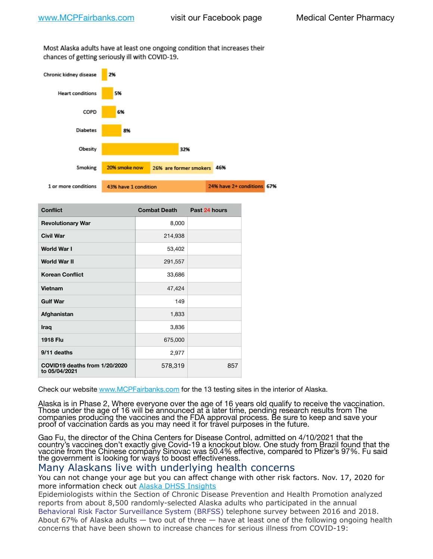Most Alaska adults have at least one ongoing condition that increases their chances of getting seriously ill with COVID-19.



| <b>Conflict</b>                                | <b>Combat Death</b> | Past 24 hours |
|------------------------------------------------|---------------------|---------------|
| <b>Revolutionary War</b>                       | 8,000               |               |
| <b>Civil War</b>                               | 214,938             |               |
| World War I                                    | 53,402              |               |
| <b>World War II</b>                            | 291,557             |               |
| <b>Korean Conflict</b>                         | 33,686              |               |
| Vietnam                                        | 47,424              |               |
| <b>Gulf War</b>                                | 149                 |               |
| Afghanistan                                    | 1,833               |               |
| Iraq                                           | 3,836               |               |
| <b>1918 Flu</b>                                | 675,000             |               |
| 9/11 deaths                                    | 2,977               |               |
| COVID19 deaths from 1/20/2020<br>to 05/04/2021 | 578,319             | 857           |

Check our website [www.MCPFairbanks.com](http://www.MCPFairbanks.com) for the 13 testing sites in the interior of Alaska.

Alaska is in Phase 2, Where everyone over the age of 16 years old qualify to receive the vaccination. Those under the age of 16 will be announced at a later time, pending research results from The companies producing the vaccines and the FDA approval process. Be sure to keep and save your proof of vaccination cards as you may need it for travel purposes in the future.

Gao Fu, the director of the China Centers for Disease Control, admitted on 4/10/2021 that the country's vaccines don't exactly give Covid-19 a knockout blow. One study from Brazil found that the vaccine from the Chinese company Sinovac was 50.4% effective, compared to Pfizer's 97%. Fu said the government is looking for ways to boost effectiveness.

## Many Alaskans live with underlying health concerns

You can not change your age but you can affect change with other risk factors. Nov. 17, 2020 for more information check out [Alaska DHSS Insights](http://dhss.alaska.gov/dph/Epi/id/Pages/COVID-19/blog/20201117.aspx)

Epidemiologists within the Section of Chronic Disease Prevention and Health Promotion analyzed reports from about 8,500 randomly-selected Alaska adults who participated in the annual [Behavioral Risk Factor Surveillance System \(BRFSS\)](http://dhss.alaska.gov/dph/Chronic/Pages/brfss/default.aspx) telephone survey between 2016 and 2018. About 67% of Alaska adults — two out of three — have at least one of the following ongoing health concerns that have been shown to increase chances for serious illness from COVID-19: